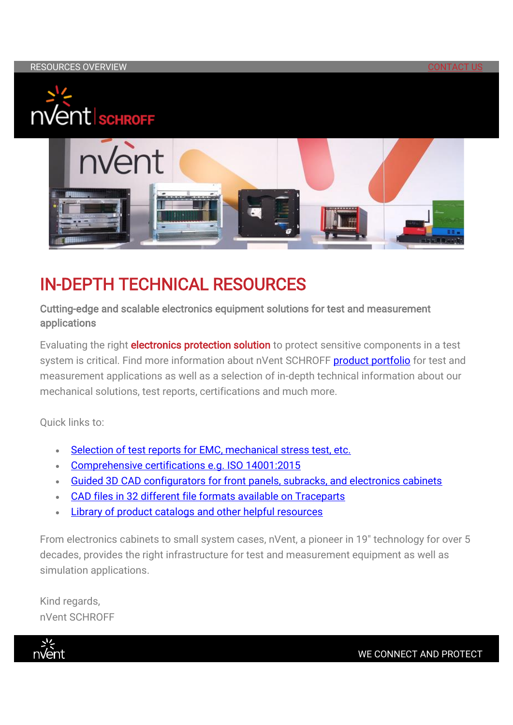



## IN-DEPTH TECHNICAL RESOURCES

Cutting-edge and scalable electronics equipment solutions for test and measurement applications

Evaluating the right **electronics protection solution** to protect sensitive components in a test system is critical. Find more information about nVent SCHROFF [product portfolio](https://em.nvent.com/NzYwLUVHVy0xMDAAAAGDweBnf41yWRHdtblc523k0JWgJFYf823KawXjk6IlLA5J6FPtygcxx6Ba0Pf8bDlzz44cPW8=) for test and measurement applications as well as a selection of in-depth technical information about our mechanical solutions, test reports, certifications and much more.

Quick links to:

- Selection of test reports for EMC, mechanical stress test, etc.
- [Comprehensive certifications e.g. ISO 14001:2015](https://em.nvent.com/NzYwLUVHVy0xMDAAAAGDweBnf_BqzwD6XK3X5anz5aVTwxiCNHKqwF5mdCIkm1elCq5-qPgOpgPwGh4V1R3eqWYEWaU=)
- [Guided 3D CAD configurators for front panels, subracks, and electronics cabinets](https://em.nvent.com/NzYwLUVHVy0xMDAAAAGDweBnfzIHkd2YG6-2F8QVoPiSz9GdkYRoPir0TSZ3G1HlGVpF3b2RdZsMN4ZEpRoxd0xjoVA=)
- [CAD files in 32 different file formats available on Traceparts](https://em.nvent.com/NzYwLUVHVy0xMDAAAAGDweBnfxV2ChYdH6XLhbRKT8rYZe9wBhcAk89ymCimR32NDC8p8hL9x_CfRMtu23Ov4FEwQWY=)
- Library [of product catalogs and other helpful resources](https://em.nvent.com/NzYwLUVHVy0xMDAAAAGDweBnf1Y3BYEUipCkP0A_oEm4URH0x-2woxIx28cMvLVoYU2nG85sS6Prk5uyuROopJmb3KQ=)

From electronics cabinets to small system cases, nVent, a pioneer in 19" technology for over 5 decades, provides the right infrastructure for test and measurement equipment as well as simulation applications.

Kind regards, nVent SCHROFF